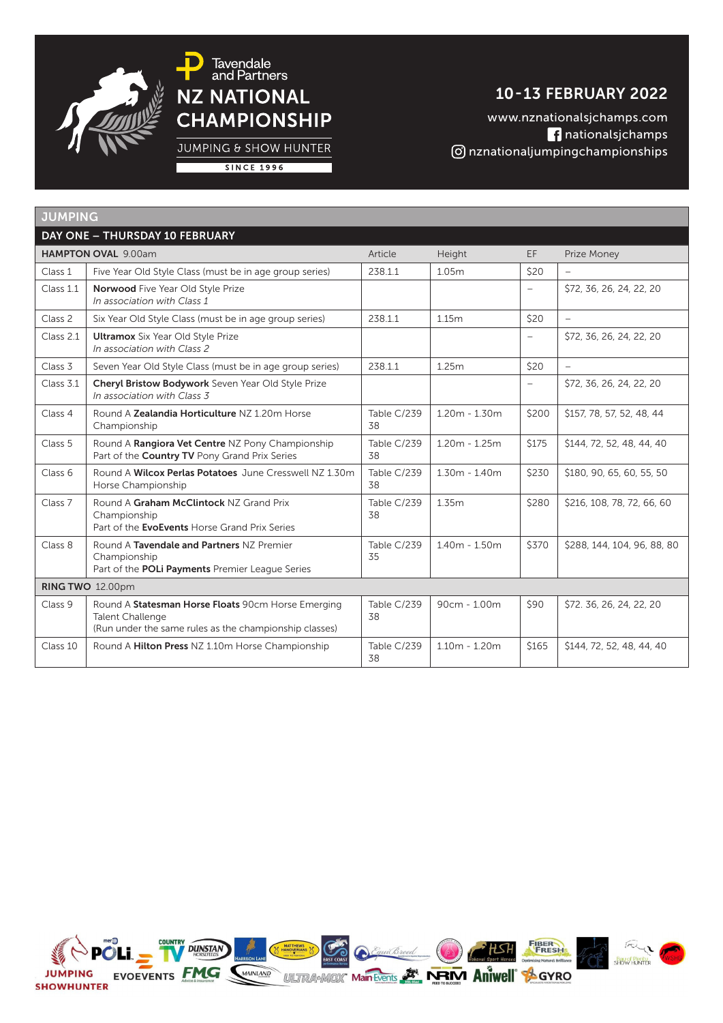

JUMPING & SHOW HUNTER

**SINCE 1996** 

## 10 - 13 FEBRUARY 2022

www.nznationalsjchamps.com nationalsjchamps nznationaljumpingchampionships

| <b>JUMPING</b>     |                                                                                                                                         |                   |                 |                          |                             |  |
|--------------------|-----------------------------------------------------------------------------------------------------------------------------------------|-------------------|-----------------|--------------------------|-----------------------------|--|
|                    | DAY ONE - THURSDAY 10 FEBRUARY                                                                                                          |                   |                 |                          |                             |  |
|                    | <b>HAMPTON OVAL 9.00am</b>                                                                                                              | Article           | Height          | EF.                      | Prize Money                 |  |
| Class 1            | Five Year Old Style Class (must be in age group series)                                                                                 | 238.1.1           | 1.05m           | \$20                     |                             |  |
| Class 1.1          | <b>Norwood</b> Five Year Old Style Prize<br>In association with Class 1                                                                 |                   |                 |                          | \$72, 36, 26, 24, 22, 20    |  |
| Class <sub>2</sub> | Six Year Old Style Class (must be in age group series)                                                                                  | 238.1.1           | 1.15m           | \$20                     | $\overline{\phantom{0}}$    |  |
| Class 2.1          | <b>Ultramox</b> Six Year Old Style Prize<br>In association with Class 2                                                                 |                   |                 | $\overline{\phantom{0}}$ | \$72, 36, 26, 24, 22, 20    |  |
| Class <sub>3</sub> | Seven Year Old Style Class (must be in age group series)                                                                                | 238.1.1           | 1.25m           | \$20                     | $\overline{\phantom{a}}$    |  |
| Class 3.1          | Cheryl Bristow Bodywork Seven Year Old Style Prize<br>In association with Class 3                                                       |                   |                 | $\overline{\phantom{0}}$ | \$72, 36, 26, 24, 22, 20    |  |
| Class 4            | Round A <b>Zealandia Horticulture</b> NZ 1.20m Horse<br>Championship                                                                    | Table C/239<br>38 | $1.20m - 1.30m$ | \$200                    | \$157, 78, 57, 52, 48, 44   |  |
| Class 5            | Round A Rangiora Vet Centre NZ Pony Championship<br>Part of the Country TV Pony Grand Prix Series                                       | Table C/239<br>38 | $1.20m - 1.25m$ | \$175                    | \$144, 72, 52, 48, 44, 40   |  |
| Class 6            | Round A Wilcox Perlas Potatoes June Cresswell NZ 1.30m<br>Horse Championship                                                            | Table C/239<br>38 | $1.30m - 1.40m$ | \$230                    | \$180, 90, 65, 60, 55, 50   |  |
| Class <sub>7</sub> | Round A Graham McClintock NZ Grand Prix<br>Championship<br>Part of the EvoEvents Horse Grand Prix Series                                | Table C/239<br>38 | 1.35m           | \$280                    | \$216, 108, 78, 72, 66, 60  |  |
| Class 8            | Round A Tavendale and Partners NZ Premier<br>Championship<br>Part of the POLi Payments Premier League Series                            | Table C/239<br>35 | $1.40m - 1.50m$ | \$370                    | \$288, 144, 104, 96, 88, 80 |  |
| RING TWO 12.00pm   |                                                                                                                                         |                   |                 |                          |                             |  |
| Class 9            | Round A Statesman Horse Floats 90cm Horse Emerging<br><b>Talent Challenge</b><br>(Run under the same rules as the championship classes) | Table C/239<br>38 | $90cm - 1.00m$  | \$90                     | \$72. 36, 26, 24, 22, 20    |  |
| Class 10           | Round A Hilton Press NZ 1.10m Horse Championship                                                                                        | Table C/239<br>38 | $1.10m - 1.20m$ | \$165                    | \$144, 72, 52, 48, 44, 40   |  |

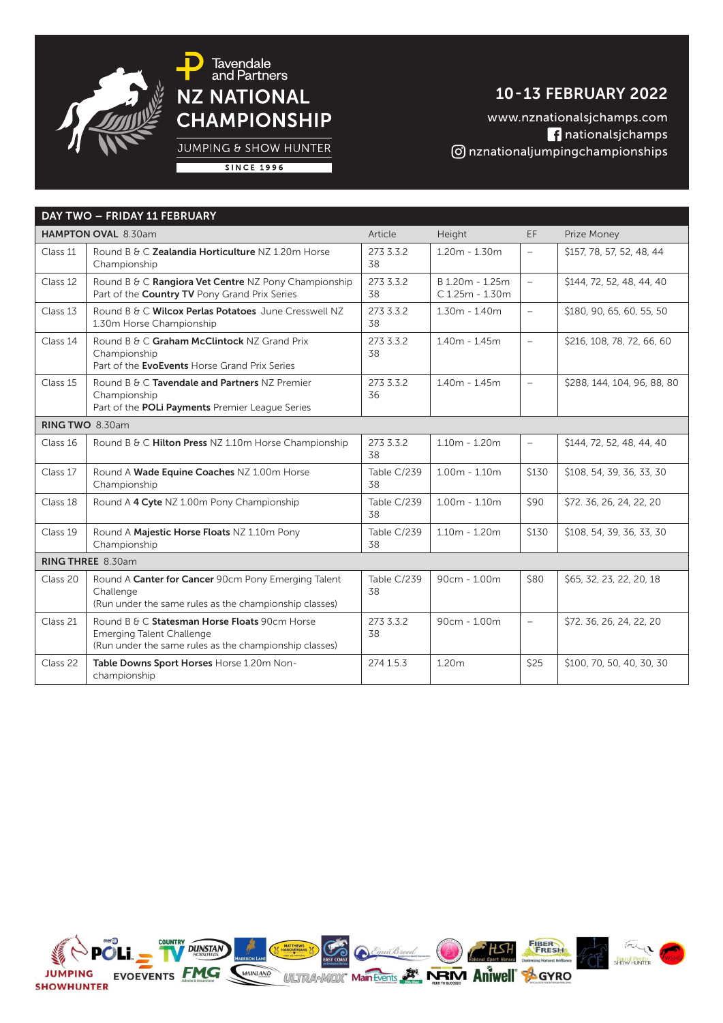

## 10 - 13 FEBRUARY 2022

www.nznationalsjchamps.com nationalsjchamps nznationaljumpingchampionships

**JUMPING & SHOW HUNTER** 

|--|

|                   | DAY TWO - FRIDAY 11 FEBRUARY                                                                                                                |                   |                                    |                          |                             |
|-------------------|---------------------------------------------------------------------------------------------------------------------------------------------|-------------------|------------------------------------|--------------------------|-----------------------------|
|                   | HAMPTON OVAL 8.30am                                                                                                                         | Article           | Height                             | EF.                      | Prize Money                 |
| Class 11          | Round B & C Zealandia Horticulture NZ 1.20m Horse<br>Championship                                                                           | 273 3.3.2<br>38   | $1.20m - 1.30m$                    | $\overline{\phantom{m}}$ | \$157, 78, 57, 52, 48, 44   |
| Class 12          | Round B & C Rangiora Vet Centre NZ Pony Championship<br>Part of the Country TV Pony Grand Prix Series                                       | 273 3.3.2<br>38   | B 1.20m - 1.25m<br>C 1.25m - 1.30m | $\overline{\phantom{a}}$ | \$144, 72, 52, 48, 44, 40   |
| Class 13          | Round B & C Wilcox Perlas Potatoes June Cresswell NZ<br>1.30m Horse Championship                                                            | 273 3.3.2<br>38   | $1.30m - 1.40m$                    | $\overline{\phantom{0}}$ | \$180, 90, 65, 60, 55, 50   |
| Class 14          | Round B & C Graham McClintock NZ Grand Prix<br>Championship<br>Part of the EvoEvents Horse Grand Prix Series                                | 273 3.3.2<br>38   | $1.40m - 1.45m$                    | $\equiv$                 | \$216, 108, 78, 72, 66, 60  |
| Class 15          | Round B & C Tavendale and Partners NZ Premier<br>Championship<br>Part of the POLi Payments Premier League Series                            | 273 3.3.2<br>36   | $1.40m - 1.45m$                    | $\overline{\phantom{a}}$ | \$288, 144, 104, 96, 88, 80 |
|                   | RING TWO 8.30am                                                                                                                             |                   |                                    |                          |                             |
| Class 16          | Round B & C Hilton Press NZ 1.10m Horse Championship                                                                                        | 273 3.3.2<br>38   | $1.10m - 1.20m$                    | $\overline{\phantom{a}}$ | \$144, 72, 52, 48, 44, 40   |
| Class 17          | Round A Wade Equine Coaches NZ 1.00m Horse<br>Championship                                                                                  | Table C/239<br>38 | $1.00m - 1.10m$                    | \$130                    | \$108, 54, 39, 36, 33, 30   |
| Class 18          | Round A 4 Cyte NZ 1.00m Pony Championship                                                                                                   | Table C/239<br>38 | $1.00m - 1.10m$                    | \$90                     | \$72. 36, 26, 24, 22, 20    |
| Class 19          | Round A Majestic Horse Floats NZ 1.10m Pony<br>Championship                                                                                 | Table C/239<br>38 | $1.10m - 1.20m$                    | \$130                    | \$108, 54, 39, 36, 33, 30   |
| RING THREE 8.30am |                                                                                                                                             |                   |                                    |                          |                             |
| Class 20          | Round A Canter for Cancer 90cm Pony Emerging Talent<br>Challenge<br>(Run under the same rules as the championship classes)                  | Table C/239<br>38 | 90cm - 1.00m                       | \$80                     | \$65, 32, 23, 22, 20, 18    |
| Class 21          | Round B & C Statesman Horse Floats 90cm Horse<br><b>Emerging Talent Challenge</b><br>(Run under the same rules as the championship classes) | 273 3.3.2<br>38   | $90cm - 1.00m$                     | $\overline{\phantom{a}}$ | \$72. 36, 26, 24, 22, 20    |
| Class 22          | Table Downs Sport Horses Horse 1.20m Non-<br>championship                                                                                   | 274 1.5.3         | 1.20m                              | \$25                     | \$100, 70, 50, 40, 30, 30   |

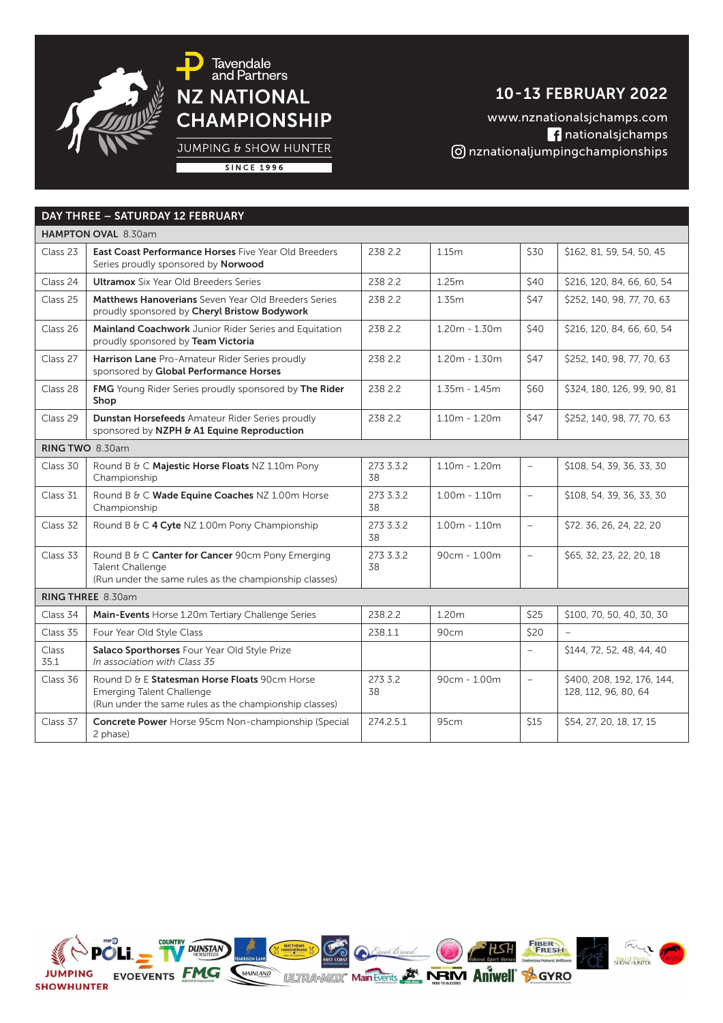

JUMPING & SHOW HUNTER

## 10 - 13 FEBRUARY 2022 www.nznationalsjchamps.com

nationalsjchamps nznationaljumpingchampionships

**SINCE 1996** 

| DAY THREE - SATURDAY 12 FEBRUARY |                                                                                                                                             |                 |                   |                          |                                                    |
|----------------------------------|---------------------------------------------------------------------------------------------------------------------------------------------|-----------------|-------------------|--------------------------|----------------------------------------------------|
|                                  | HAMPTON OVAL 8.30am                                                                                                                         |                 |                   |                          |                                                    |
| Class 23                         | <b>East Coast Performance Horses Five Year Old Breeders</b><br>Series proudly sponsored by Norwood                                          | 238 2.2         | 1.15m             | \$30                     | \$162, 81, 59, 54, 50, 45                          |
| Class 24                         | <b>Ultramox</b> Six Year Old Breeders Series                                                                                                | 238 2.2         | 1.25m             | \$40                     | \$216, 120, 84, 66, 60, 54                         |
| Class 25                         | Matthews Hanoverians Seven Year Old Breeders Series<br>proudly sponsored by Cheryl Bristow Bodywork                                         | 238 2.2         | 1.35m             | \$47                     | \$252, 140, 98, 77, 70, 63                         |
| Class 26                         | Mainland Coachwork Junior Rider Series and Equitation<br>proudly sponsored by Team Victoria                                                 | 238 2.2         | $1.20m - 1.30m$   | \$40                     | \$216, 120, 84, 66, 60, 54                         |
| Class 27                         | Harrison Lane Pro-Amateur Rider Series proudly<br>sponsored by Global Performance Horses                                                    | 238 2.2         | $1.20m - 1.30m$   | \$47                     | \$252, 140, 98, 77, 70, 63                         |
| Class 28                         | FMG Young Rider Series proudly sponsored by The Rider<br>Shop                                                                               | 238 2.2         | $1.35m - 1.45m$   | \$60                     | \$324, 180, 126, 99, 90, 81                        |
| Class 29                         | Dunstan Horsefeeds Amateur Rider Series proudly<br>sponsored by NZPH & A1 Equine Reproduction                                               | 238 2.2         | $1.10m - 1.20m$   | \$47                     | \$252, 140, 98, 77, 70, 63                         |
|                                  | RING TWO 8.30am                                                                                                                             |                 |                   |                          |                                                    |
| Class 30                         | Round B & C Majestic Horse Floats NZ 1.10m Pony<br>Championship                                                                             | 273 3.3.2<br>38 | $1.10m - 1.20m$   | $\overline{\phantom{a}}$ | \$108, 54, 39, 36, 33, 30                          |
| Class 31                         | Round B & C Wade Equine Coaches NZ 1.00m Horse<br>Championship                                                                              | 273 3.3.2<br>38 | $1.00m - 1.10m$   | $\equiv$                 | \$108, 54, 39, 36, 33, 30                          |
| Class 32                         | Round B & C 4 Cyte NZ 1.00m Pony Championship                                                                                               | 273 3.3.2<br>38 | $1.00m - 1.10m$   | $\overline{\phantom{a}}$ | \$72. 36, 26, 24, 22, 20                           |
| Class 33                         | Round B & C Canter for Cancer 90cm Pony Emerging<br><b>Talent Challenge</b><br>(Run under the same rules as the championship classes)       | 273 3.3.2<br>38 | $90cm - 1.00m$    | $\overline{\phantom{a}}$ | \$65, 32, 23, 22, 20, 18                           |
| RING THREE 8.30am                |                                                                                                                                             |                 |                   |                          |                                                    |
| Class 34                         | Main-Events Horse 1.20m Tertiary Challenge Series                                                                                           | 238.2.2         | 1.20 <sub>m</sub> | \$25                     | \$100, 70, 50, 40, 30, 30                          |
| Class 35                         | Four Year Old Style Class                                                                                                                   | 238.1.1         | 90cm              | \$20                     |                                                    |
| <b>Class</b><br>35.1             | Salaco Sporthorses Four Year Old Style Prize<br>In association with Class 35                                                                |                 |                   | $\overline{\phantom{a}}$ | \$144, 72, 52, 48, 44, 40                          |
| Class 36                         | Round D & E Statesman Horse Floats 90cm Horse<br><b>Emerging Talent Challenge</b><br>(Run under the same rules as the championship classes) | 273 3.2<br>38   | $90cm - 1.00m$    | $\rightarrow$            | \$400, 208, 192, 176, 144,<br>128, 112, 96, 80, 64 |
| Class 37                         | Concrete Power Horse 95cm Non-championship (Special<br>2 phase)                                                                             | 274.2.5.1       | 95cm              | <b>\$15</b>              | \$54, 27, 20, 18, 17, 15                           |

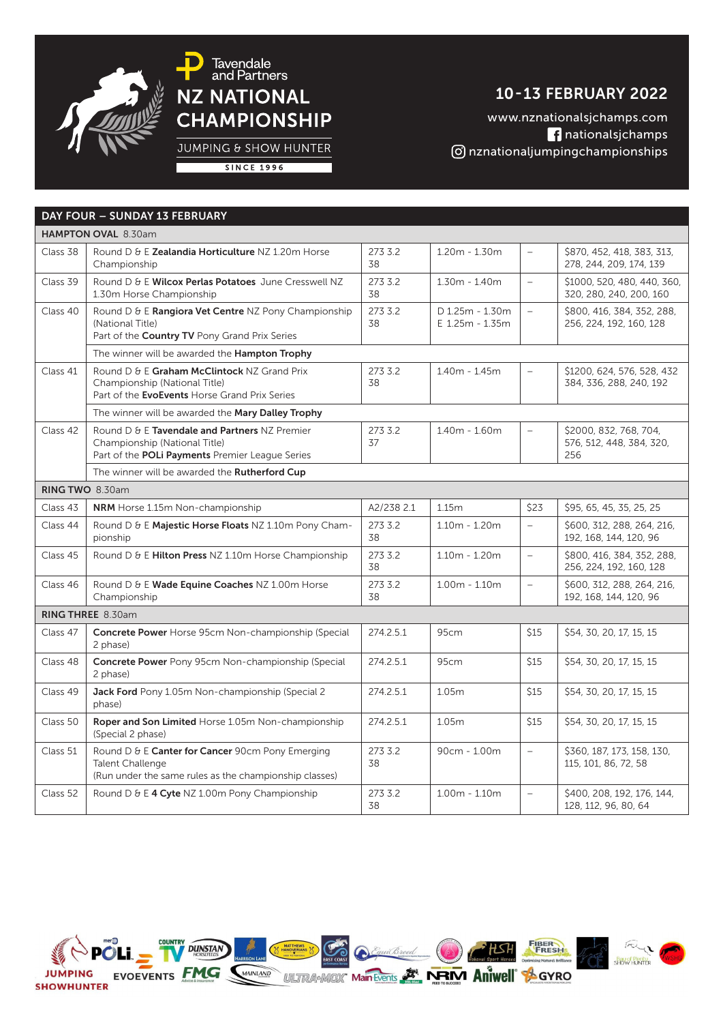

JUMPING & SHOW HUNTER

## 10 - 13 FEBRUARY 2022

www.nznationalsjchamps.com nationalsjchamps nznationaljumpingchampionships

**SINCE 1996** 

|                 | DAY FOUR - SUNDAY 13 FEBRUARY                                                                                                         |               |                                    |                          |                                                           |
|-----------------|---------------------------------------------------------------------------------------------------------------------------------------|---------------|------------------------------------|--------------------------|-----------------------------------------------------------|
|                 | HAMPTON OVAL 8.30am                                                                                                                   |               |                                    |                          |                                                           |
| Class 38        | Round D & E Zealandia Horticulture NZ 1.20m Horse<br>Championship                                                                     | 273 3.2<br>38 | $1.20m - 1.30m$                    | $\overline{\phantom{a}}$ | \$870, 452, 418, 383, 313,<br>278, 244, 209, 174, 139     |
| Class 39        | Round D & E Wilcox Perlas Potatoes June Cresswell NZ<br>1.30m Horse Championship                                                      | 273 3.2<br>38 | $1.30m - 1.40m$                    | $\overline{\phantom{a}}$ | \$1000, 520, 480, 440, 360,<br>320, 280, 240, 200, 160    |
| Class 40        | Round D & E Rangiora Vet Centre NZ Pony Championship<br>(National Title)<br>Part of the Country TV Pony Grand Prix Series             | 273 3.2<br>38 | D 1.25m - 1.30m<br>E 1.25m - 1.35m | $\overline{a}$           | \$800, 416, 384, 352, 288,<br>256, 224, 192, 160, 128     |
|                 | The winner will be awarded the Hampton Trophy                                                                                         |               |                                    |                          |                                                           |
| Class 41        | Round D & E Graham McClintock NZ Grand Prix<br>Championship (National Title)<br>Part of the EvoEvents Horse Grand Prix Series         | 273 3.2<br>38 | $1.40m - 1.45m$                    | $\sim$                   | \$1200, 624, 576, 528, 432<br>384, 336, 288, 240, 192     |
|                 | The winner will be awarded the Mary Dalley Trophy                                                                                     |               |                                    |                          |                                                           |
| Class 42        | Round D & E Tavendale and Partners NZ Premier<br>Championship (National Title)<br>Part of the POLi Payments Premier League Series     | 273 3.2<br>37 | $1.40m - 1.60m$                    | $\overline{\phantom{0}}$ | \$2000, 832, 768, 704,<br>576, 512, 448, 384, 320,<br>256 |
|                 | The winner will be awarded the Rutherford Cup                                                                                         |               |                                    |                          |                                                           |
| RING TWO 8.30am |                                                                                                                                       |               |                                    |                          |                                                           |
| Class 43        | <b>NRM</b> Horse 1.15m Non-championship                                                                                               | A2/238 2.1    | 1.15m                              | \$23                     | \$95, 65, 45, 35, 25, 25                                  |
| Class 44        | Round D & E Majestic Horse Floats NZ 1.10m Pony Cham-<br>pionship                                                                     | 273 3.2<br>38 | $1.10m - 1.20m$                    | $\equiv$                 | \$600, 312, 288, 264, 216,<br>192, 168, 144, 120, 96      |
| Class 45        | Round D & E Hilton Press NZ 1.10m Horse Championship                                                                                  | 273 3.2<br>38 | $1.10m - 1.20m$                    | $\equiv$                 | \$800, 416, 384, 352, 288,<br>256, 224, 192, 160, 128     |
| Class 46        | Round D & E Wade Equine Coaches NZ 1.00m Horse<br>Championship                                                                        | 273 3.2<br>38 | $1.00m - 1.10m$                    | $\rightarrow$            | \$600, 312, 288, 264, 216,<br>192, 168, 144, 120, 96      |
|                 | RING THREE 8.30am                                                                                                                     |               |                                    |                          |                                                           |
| Class 47        | Concrete Power Horse 95cm Non-championship (Special<br>2 phase)                                                                       | 274.2.5.1     | 95cm                               | \$15                     | \$54, 30, 20, 17, 15, 15                                  |
| Class 48        | <b>Concrete Power</b> Pony 95cm Non-championship (Special<br>2 phase)                                                                 | 274.2.5.1     | 95cm                               | \$15                     | \$54, 30, 20, 17, 15, 15                                  |
| Class 49        | Jack Ford Pony 1.05m Non-championship (Special 2<br>phase)                                                                            | 274.2.5.1     | 1.05m                              | \$15                     | \$54, 30, 20, 17, 15, 15                                  |
| Class 50        | Roper and Son Limited Horse 1.05m Non-championship<br>(Special 2 phase)                                                               | 274.2.5.1     | 1.05m                              | \$15                     | \$54, 30, 20, 17, 15, 15                                  |
| Class 51        | Round D & E Canter for Cancer 90cm Pony Emerging<br><b>Talent Challenge</b><br>(Run under the same rules as the championship classes) | 273 3.2<br>38 | 90cm - 1.00m                       | $\rightarrow$            | \$360, 187, 173, 158, 130,<br>115, 101, 86, 72, 58        |
| Class 52        | Round D & E 4 Cyte NZ 1.00m Pony Championship                                                                                         | 273 3.2<br>38 | $1.00m - 1.10m$                    | $\overline{a}$           | \$400, 208, 192, 176, 144,<br>128, 112, 96, 80, 64        |

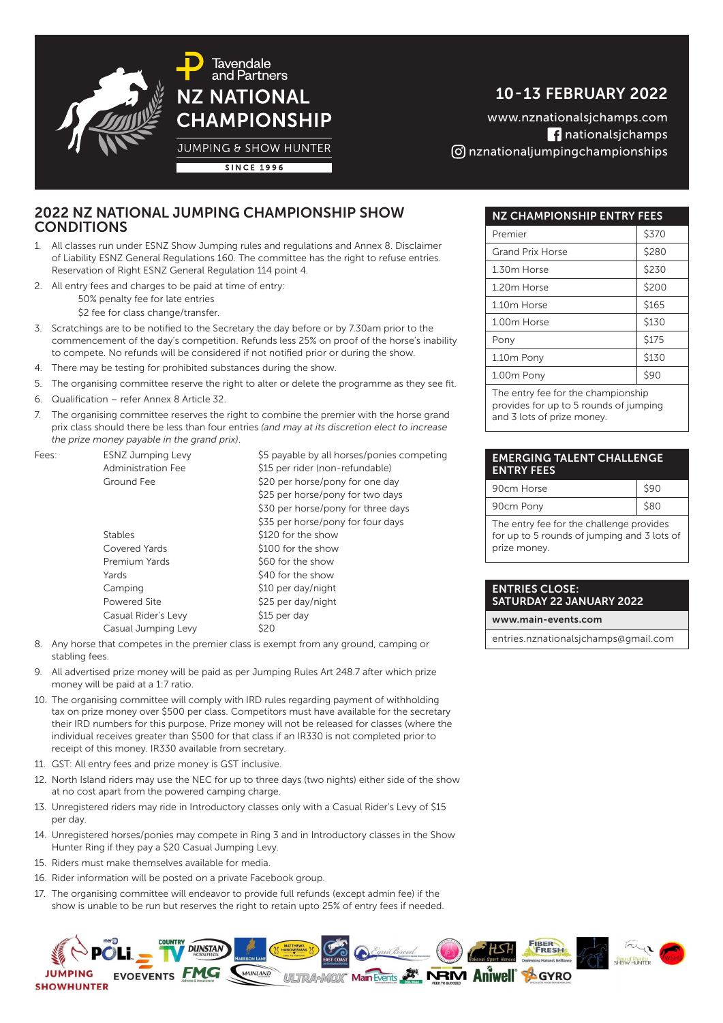

**Tavendale** and Partners **NZ NATIONAL CHAMPIONSHIP JUMPING & SHOW HUNTER** 

10 - 13 FEBRUARY 2022

www.nznationalsjchamps.com nationalsjchamps nznationaljumpingchampionships

**SINCE 1996** 

### 2022 NZ NATIONAL JUMPING CHAMPIONSHIP SHOW **CONDITIONS**

- 1. All classes run under ESNZ Show Jumping rules and regulations and Annex 8. Disclaimer of Liability ESNZ General Regulations 160. The committee has the right to refuse entries. Reservation of Right ESNZ General Regulation 114 point 4.
- 2. All entry fees and charges to be paid at time of entry:
	- 50% penalty fee for late entries
	- \$2 fee for class change/transfer.
- 3. Scratchings are to be notified to the Secretary the day before or by 7.30am prior to the commencement of the day's competition. Refunds less 25% on proof of the horse's inability to compete. No refunds will be considered if not notified prior or during the show.
- 4. There may be testing for prohibited substances during the show.
- 5. The organising committee reserve the right to alter or delete the programme as they see fit.
- 6. Qualification refer Annex 8 Article 32.
- 7. The organising committee reserves the right to combine the premier with the horse grand prix class should there be less than four entries *(and may at its discretion elect to increase the prize money payable in the grand prix)*.

| Fees: | <b>ESNZ Jumping Levy</b>  | \$5 payable by all horses/ponies competing |
|-------|---------------------------|--------------------------------------------|
|       | <b>Administration Fee</b> | \$15 per rider (non-refundable)            |
|       | Ground Fee                | \$20 per horse/pony for one day            |
|       |                           | \$25 per horse/pony for two days           |
|       |                           | \$30 per horse/pony for three days         |
|       |                           | \$35 per horse/pony for four days          |
|       | <b>Stables</b>            | \$120 for the show                         |
|       | Covered Yards             | \$100 for the show                         |
|       | Premium Yards             | \$60 for the show                          |
|       | Yards                     | \$40 for the show                          |
|       | Camping                   | \$10 per day/night                         |
|       | Powered Site              | \$25 per day/night                         |
|       | Casual Rider's Levy       | \$15 per day                               |
|       | Casual Jumping Levy       | \$20                                       |

- 8. Any horse that competes in the premier class is exempt from any ground, camping or stabling fees.
- 9. All advertised prize money will be paid as per Jumping Rules Art 248.7 after which prize money will be paid at a 1:7 ratio.
- 10. The organising committee will comply with IRD rules regarding payment of withholding tax on prize money over \$500 per class. Competitors must have available for the secretary their IRD numbers for this purpose. Prize money will not be released for classes (where the individual receives greater than \$500 for that class if an IR330 is not completed prior to receipt of this money. IR330 available from secretary.
- 11. GST: All entry fees and prize money is GST inclusive.
- 12. North Island riders may use the NEC for up to three days (two nights) either side of the show at no cost apart from the powered camping charge.
- 13. Unregistered riders may ride in Introductory classes only with a Casual Rider's Levy of \$15 per day.
- 14. Unregistered horses/ponies may compete in Ring 3 and in Introductory classes in the Show Hunter Ring if they pay a \$20 Casual Jumping Levy.
- 15. Riders must make themselves available for media.
- 16. Rider information will be posted on a private Facebook group.
- 17. The organising committee will endeavor to provide full refunds (except admin fee) if the show is unable to be run but reserves the right to retain upto 25% of entry fees if needed.

### NZ CHAMPIONSHIP ENTRY FEES Premier S370 Grand Prix Horse 1 S280 1.30m Horse 1.30m  $\frac{1}{300}$ 1.20m Horse  $\vert$  \$200 1.10m Horse  $\frac{1}{5165}$ 1.00m Horse | \$130 Pony 3175 1.10m Pony 6130 1.00m Pony 390 The entry fee for the championship

provides for up to 5 rounds of jumping and 3 lots of prize money.

### EMERGING TALENT CHALLENGE ENTRY FEES

| 90cm Horse |  |
|------------|--|
| 90cm Pony  |  |
|            |  |

The entry fee for the challenge provides for up to 5 rounds of jumping and 3 lots of prize money.

#### ENTRIES CLOSE: SATURDAY 22 JANUARY 2022

www.main-events.com

entries.nznationalsjchamps@gmail.com

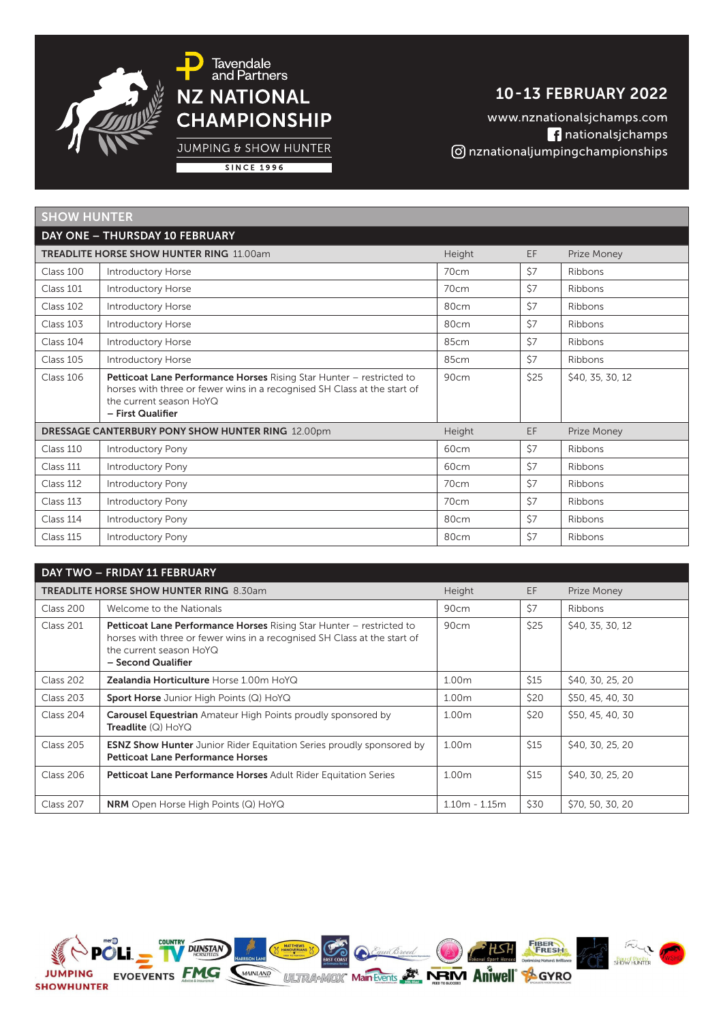

JUMPING & SHOW HUNTER

## 10 - 13 FEBRUARY 2022

www.nznationalsjchamps.com nationalsjchamps nznationaljumpingchampionships

**SINCE 1996** 

| <b>SHOW HUNTER</b> |                                                                                                                                                                                                  |                  |            |                  |
|--------------------|--------------------------------------------------------------------------------------------------------------------------------------------------------------------------------------------------|------------------|------------|------------------|
|                    | DAY ONE - THURSDAY 10 FEBRUARY                                                                                                                                                                   |                  |            |                  |
|                    | <b>TREADLITE HORSE SHOW HUNTER RING 11,00am</b>                                                                                                                                                  | Height           | EF         | Prize Money      |
| Class 100          | <b>Introductory Horse</b>                                                                                                                                                                        | 70cm             | \$7        | Ribbons          |
| Class 101          | <b>Introductory Horse</b>                                                                                                                                                                        | 70cm             | <b>\$7</b> | Ribbons          |
| Class 102          | <b>Introductory Horse</b>                                                                                                                                                                        | 80cm             | \$7        | Ribbons          |
| Class 103          | <b>Introductory Horse</b>                                                                                                                                                                        | 80cm             | \$7        | Ribbons          |
| Class 104          | <b>Introductory Horse</b>                                                                                                                                                                        | 85cm             | \$7        | Ribbons          |
| Class 105          | Introductory Horse                                                                                                                                                                               | 85cm             | \$7        | Ribbons          |
| Class 106          | Petticoat Lane Performance Horses Rising Star Hunter - restricted to<br>horses with three or fewer wins in a recognised SH Class at the start of<br>the current season HoYQ<br>- First Qualifier | 90cm             | \$25       | \$40, 35, 30, 12 |
|                    | <b>DRESSAGE CANTERBURY PONY SHOW HUNTER RING 12.00pm</b>                                                                                                                                         | Height           | EF         | Prize Money      |
| Class 110          | <b>Introductory Pony</b>                                                                                                                                                                         | 60 <sub>cm</sub> | \$7        | Ribbons          |
| Class 111          | <b>Introductory Pony</b>                                                                                                                                                                         | 60cm             | \$7        | Ribbons          |
| Class 112          | Introductory Pony                                                                                                                                                                                | 70cm             | \$7        | Ribbons          |
| Class 113          | <b>Introductory Pony</b>                                                                                                                                                                         | 70cm             | <b>\$7</b> | Ribbons          |
| Class 114          | <b>Introductory Pony</b>                                                                                                                                                                         | 80cm             | \$7        | Ribbons          |
| Class 115          | <b>Introductory Pony</b>                                                                                                                                                                         | 80cm             | \$7        | Ribbons          |
|                    | DAY TWO - FRIDAY 11 FEBRUARY                                                                                                                                                                     |                  |            |                  |

|           | DAY TWO - FRIDAY II FEBRUARY                                                                                                                                                                             |                   |             |                  |
|-----------|----------------------------------------------------------------------------------------------------------------------------------------------------------------------------------------------------------|-------------------|-------------|------------------|
|           | <b>TREADLITE HORSE SHOW HUNTER RING 8.30am</b>                                                                                                                                                           | Height            | EF          | Prize Money      |
| Class 200 | Welcome to the Nationals                                                                                                                                                                                 | 90cm              | \$7         | <b>Ribbons</b>   |
| Class 201 | <b>Petticoat Lane Performance Horses</b> Rising Star Hunter – restricted to<br>horses with three or fewer wins in a recognised SH Class at the start of<br>the current season HoYQ<br>- Second Qualifier | 90cm              | \$25        | \$40, 35, 30, 12 |
| Class 202 | <b>Zealandia Horticulture Horse 1.00m HoYQ</b>                                                                                                                                                           | 1.00m             | \$15        | \$40, 30, 25, 20 |
| Class 203 | <b>Sport Horse</b> Junior High Points (Q) HoYQ                                                                                                                                                           | 1.00m             | \$20        | \$50, 45, 40, 30 |
| Class 204 | Carousel Equestrian Amateur High Points proudly sponsored by<br><b>Treadlite</b> $(Q)$ HoYQ                                                                                                              | 1.00m             | \$20        | \$50, 45, 40, 30 |
| Class 205 | <b>ESNZ Show Hunter</b> Junior Rider Equitation Series proudly sponsored by<br><b>Petticoat Lane Performance Horses</b>                                                                                  | 1.00 <sub>m</sub> | \$15        | \$40, 30, 25, 20 |
| Class 206 | Petticoat Lane Performance Horses Adult Rider Equitation Series                                                                                                                                          | 1.00m             | <b>\$15</b> | \$40, 30, 25, 20 |
| Class 207 | <b>NRM</b> Open Horse High Points (Q) HoYQ                                                                                                                                                               | $1.10m - 1.15m$   | \$30        | \$70, 50, 30, 20 |

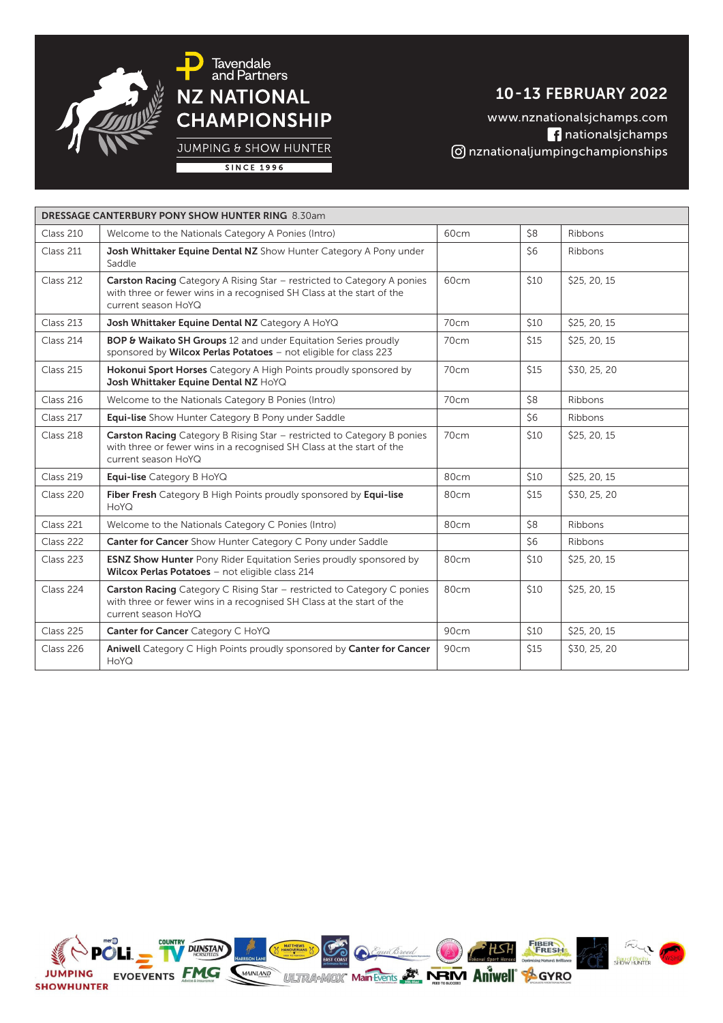

10 - 13 FEBRUARY 2022

www.nznationalsjchamps.com nationalsjchamps nznationaljumpingchampionships

**JUMPING & SHOW HUNTER** 

|--|

|           | <b>DRESSAGE CANTERBURY PONY SHOW HUNTER RING 8.30am</b>                                                                                                                        |      |      |              |
|-----------|--------------------------------------------------------------------------------------------------------------------------------------------------------------------------------|------|------|--------------|
| Class 210 | Welcome to the Nationals Category A Ponies (Intro)                                                                                                                             | 60cm | \$8  | Ribbons      |
| Class 211 | Josh Whittaker Equine Dental NZ Show Hunter Category A Pony under<br>Saddle                                                                                                    |      | \$6  | Ribbons      |
| Class 212 | <b>Carston Racing</b> Category A Rising Star - restricted to Category A ponies<br>with three or fewer wins in a recognised SH Class at the start of the<br>current season HoYQ | 60cm | \$10 | \$25, 20, 15 |
| Class 213 | Josh Whittaker Equine Dental NZ Category A HoYQ                                                                                                                                | 70cm | \$10 | \$25, 20, 15 |
| Class 214 | BOP & Waikato SH Groups 12 and under Equitation Series proudly<br>sponsored by Wilcox Perlas Potatoes - not eligible for class 223                                             | 70cm | \$15 | \$25, 20, 15 |
| Class 215 | Hokonui Sport Horses Category A High Points proudly sponsored by<br>Josh Whittaker Equine Dental NZ HoYQ                                                                       | 70cm | \$15 | \$30, 25, 20 |
| Class 216 | Welcome to the Nationals Category B Ponies (Intro)                                                                                                                             | 70cm | \$8  | Ribbons      |
| Class 217 | Equi-lise Show Hunter Category B Pony under Saddle                                                                                                                             |      | \$6  | Ribbons      |
| Class 218 | Carston Racing Category B Rising Star - restricted to Category B ponies<br>with three or fewer wins in a recognised SH Class at the start of the<br>current season HoYQ        | 70cm | \$10 | \$25, 20, 15 |
| Class 219 | Equi-lise Category B HoYQ                                                                                                                                                      | 80cm | \$10 | \$25, 20, 15 |
| Class 220 | Fiber Fresh Category B High Points proudly sponsored by Equi-lise<br>HoYQ                                                                                                      | 80cm | \$15 | \$30, 25, 20 |
| Class 221 | Welcome to the Nationals Category C Ponies (Intro)                                                                                                                             | 80cm | \$8  | Ribbons      |
| Class 222 | <b>Canter for Cancer</b> Show Hunter Category C Pony under Saddle                                                                                                              |      | \$6  | Ribbons      |
| Class 223 | <b>ESNZ Show Hunter</b> Pony Rider Equitation Series proudly sponsored by<br>Wilcox Perlas Potatoes - not eligible class 214                                                   | 80cm | \$10 | \$25, 20, 15 |
| Class 224 | Carston Racing Category C Rising Star - restricted to Category C ponies<br>with three or fewer wins in a recognised SH Class at the start of the<br>current season HoYQ        | 80cm | \$10 | \$25, 20, 15 |
| Class 225 | Canter for Cancer Category C HoYQ                                                                                                                                              | 90cm | \$10 | \$25, 20, 15 |
| Class 226 | Aniwell Category C High Points proudly sponsored by Canter for Cancer<br>HoYQ                                                                                                  | 90cm | \$15 | \$30, 25, 20 |

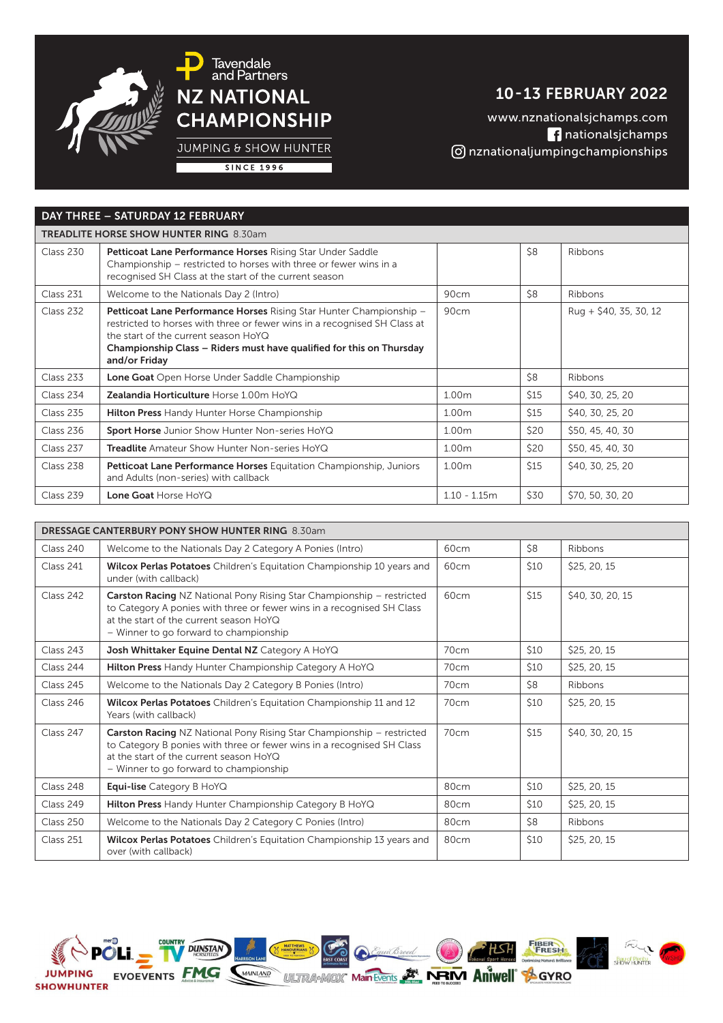

10 - 13 FEBRUARY 2022

www.nznationalsjchamps.com nationalsjchamps nznationaljumpingchampionships

JUMPING & SHOW HUNTER

**SINCE 1996** 

### DAY THREE – SATURDAY 12 FEBRUARY

| <b>TREADLITE HORSE SHOW HUNTER RING 8.30am</b> |                                                                                                                                                                                                                                                                                   |                   |             |                         |  |  |
|------------------------------------------------|-----------------------------------------------------------------------------------------------------------------------------------------------------------------------------------------------------------------------------------------------------------------------------------|-------------------|-------------|-------------------------|--|--|
| Class 230                                      | Petticoat Lane Performance Horses Rising Star Under Saddle<br>Championship – restricted to horses with three or fewer wins in a<br>recognised SH Class at the start of the current season                                                                                         |                   | \$8         | Ribbons                 |  |  |
| Class 231                                      | Welcome to the Nationals Day 2 (Intro)                                                                                                                                                                                                                                            | 90cm              | \$8         | Ribbons                 |  |  |
| Class 232                                      | Petticoat Lane Performance Horses Rising Star Hunter Championship -<br>restricted to horses with three or fewer wins in a recognised SH Class at<br>the start of the current season HoYQ<br>Championship Class – Riders must have qualified for this on Thursday<br>and/or Friday | 90cm              |             | $Ruq + $40, 35, 30, 12$ |  |  |
| Class 233                                      | Lone Goat Open Horse Under Saddle Championship                                                                                                                                                                                                                                    |                   | \$8         | Ribbons                 |  |  |
| Class 234                                      | <b>Zealandia Horticulture Horse 1.00m HoYQ</b>                                                                                                                                                                                                                                    | 1.00m             | \$15        | \$40, 30, 25, 20        |  |  |
| Class 235                                      | <b>Hilton Press</b> Handy Hunter Horse Championship                                                                                                                                                                                                                               | 1.00 <sub>m</sub> | \$15        | \$40, 30, 25, 20        |  |  |
| Class 236                                      | <b>Sport Horse</b> Junior Show Hunter Non-series HoYQ                                                                                                                                                                                                                             | 1.00m             | \$20        | \$50, 45, 40, 30        |  |  |
| Class 237                                      | <b>Treadlite</b> Amateur Show Hunter Non-series HoYQ                                                                                                                                                                                                                              | 1.00m             | \$20        | \$50, 45, 40, 30        |  |  |
| Class 238                                      | Petticoat Lane Performance Horses Equitation Championship, Juniors<br>and Adults (non-series) with callback                                                                                                                                                                       | 1.00m             | <b>\$15</b> | \$40, 30, 25, 20        |  |  |
| Class 239                                      | Lone Goat Horse HoYQ                                                                                                                                                                                                                                                              | $1.10 - 1.15m$    | \$30        | \$70, 50, 30, 20        |  |  |

| <b>DRESSAGE CANTERBURY PONY SHOW HUNTER RING 8.30am</b> |                                                                                                                                                                                                                                             |                  |             |                  |  |  |  |
|---------------------------------------------------------|---------------------------------------------------------------------------------------------------------------------------------------------------------------------------------------------------------------------------------------------|------------------|-------------|------------------|--|--|--|
| Class 240                                               | Welcome to the Nationals Day 2 Category A Ponies (Intro)                                                                                                                                                                                    | 60cm             | \$8         | Ribbons          |  |  |  |
| Class 241                                               | Wilcox Perlas Potatoes Children's Equitation Championship 10 years and<br>under (with callback)                                                                                                                                             | 60cm             | \$10        | \$25, 20, 15     |  |  |  |
| Class 242                                               | <b>Carston Racing NZ National Pony Rising Star Championship - restricted</b><br>to Category A ponies with three or fewer wins in a recognised SH Class<br>at the start of the current season HoYQ<br>- Winner to go forward to championship | 60 <sub>cm</sub> | \$15        | \$40, 30, 20, 15 |  |  |  |
| Class 243                                               | Josh Whittaker Equine Dental NZ Category A HoYQ                                                                                                                                                                                             | 70cm             | \$10        | \$25, 20, 15     |  |  |  |
| Class 244                                               | Hilton Press Handy Hunter Championship Category A HoYQ                                                                                                                                                                                      | 70 <sub>cm</sub> | \$10        | \$25, 20, 15     |  |  |  |
| Class 245                                               | Welcome to the Nationals Day 2 Category B Ponies (Intro)                                                                                                                                                                                    | 70cm             | \$8         | Ribbons          |  |  |  |
| Class 246                                               | Wilcox Perlas Potatoes Children's Equitation Championship 11 and 12<br>Years (with callback)                                                                                                                                                | 70cm             | \$10        | \$25, 20, 15     |  |  |  |
| Class 247                                               | <b>Carston Racing</b> NZ National Pony Rising Star Championship - restricted<br>to Category B ponies with three or fewer wins in a recognised SH Class<br>at the start of the current season HoYQ<br>- Winner to go forward to championship | 70cm             | <b>\$15</b> | \$40, 30, 20, 15 |  |  |  |
| Class 248                                               | <b>Equi-lise</b> Category B HoYQ                                                                                                                                                                                                            | 80cm             | \$10        | \$25, 20, 15     |  |  |  |
| Class 249                                               | Hilton Press Handy Hunter Championship Category B HoYQ                                                                                                                                                                                      | 80cm             | \$10        | \$25, 20, 15     |  |  |  |
| Class 250                                               | Welcome to the Nationals Day 2 Category C Ponies (Intro)                                                                                                                                                                                    | 80cm             | \$8         | Ribbons          |  |  |  |
| Class 251                                               | Wilcox Perlas Potatoes Children's Equitation Championship 13 years and<br>over (with callback)                                                                                                                                              | 80 <sub>cm</sub> | \$10        | \$25, 20, 15     |  |  |  |

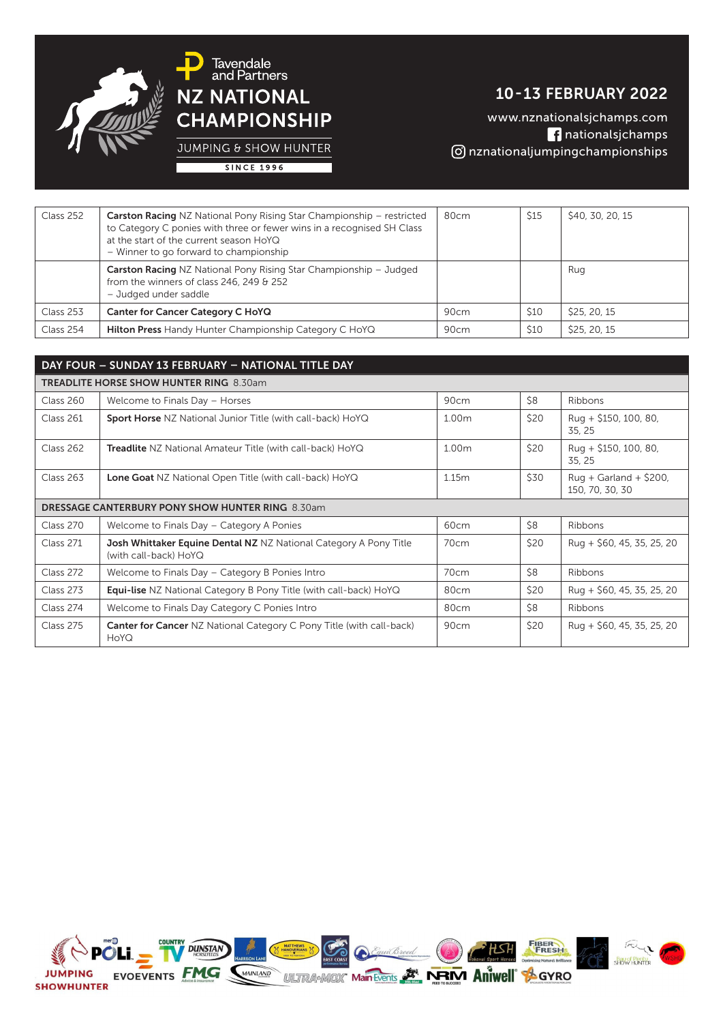

10 - 13 FEBRUARY 2022

www.nznationalsjchamps.com nationalsjchamps nznationaljumpingchampionships

JUMPING & SHOW HUNTER **SINCE 1996** 

| Class 252 | <b>Carston Racing NZ National Pony Rising Star Championship - restricted</b><br>to Category C ponies with three or fewer wins in a recognised SH Class<br>at the start of the current season HoYQ<br>- Winner to go forward to championship | 80cm | <b>\$15</b> | \$40, 30, 20, 15 |
|-----------|---------------------------------------------------------------------------------------------------------------------------------------------------------------------------------------------------------------------------------------------|------|-------------|------------------|
|           | <b>Carston Racing NZ National Pony Rising Star Championship - Judged</b><br>from the winners of class 246, 249 & 252<br>- Judged under saddle                                                                                               |      |             | Rug              |
| Class 253 | Canter for Cancer Category C HoYQ                                                                                                                                                                                                           | 90cm | \$10        | \$25, 20, 15     |
| Class 254 | <b>Hilton Press</b> Handy Hunter Championship Category C HoYQ                                                                                                                                                                               | 90cm | <b>\$10</b> | \$25, 20, 15     |

| DAY FOUR - SUNDAY 13 FEBRUARY - NATIONAL TITLE DAY      |                                                                                                   |                  |      |                                             |  |  |  |
|---------------------------------------------------------|---------------------------------------------------------------------------------------------------|------------------|------|---------------------------------------------|--|--|--|
| <b>TREADLITE HORSE SHOW HUNTER RING 8.30am</b>          |                                                                                                   |                  |      |                                             |  |  |  |
| Class 260                                               | Welcome to Finals Day - Horses                                                                    | 90cm             | \$8  | Ribbons                                     |  |  |  |
| Class 261                                               | Sport Horse NZ National Junior Title (with call-back) HoYQ                                        | 1.00m            | \$20 | Rug + \$150, 100, 80,<br>35, 25             |  |  |  |
| Class 262                                               | Treadlite NZ National Amateur Title (with call-back) HoYQ                                         | 1.00m            | \$20 | Rug + $$150, 100, 80$<br>35, 25             |  |  |  |
| Class 263                                               | <b>Lone Goat</b> NZ National Open Title (with call-back) HoYQ                                     | 1.15m            | \$30 | $Ruq + Garland + $200$ ,<br>150, 70, 30, 30 |  |  |  |
| <b>DRESSAGE CANTERBURY PONY SHOW HUNTER RING 8.30am</b> |                                                                                                   |                  |      |                                             |  |  |  |
| Class 270                                               | Welcome to Finals Day - Category A Ponies                                                         | 60 <sub>cm</sub> | \$8  | Ribbons                                     |  |  |  |
| Class 271                                               | <b>Josh Whittaker Equine Dental NZ NZ National Category A Pony Title</b><br>(with call-back) HoYQ | 70 <sub>cm</sub> | \$20 | Rug + \$60, 45, 35, 25, 20                  |  |  |  |
| Class 272                                               | Welcome to Finals Day - Category B Ponies Intro                                                   | 70cm             | \$8  | Ribbons                                     |  |  |  |
| Class 273                                               | <b>Equi-lise</b> NZ National Category B Pony Title (with call-back) HoYQ                          | 80cm             | \$20 | Rug + \$60, 45, 35, 25, 20                  |  |  |  |
| Class 274                                               | Welcome to Finals Day Category C Ponies Intro                                                     | 80cm             | \$8  | Ribbons                                     |  |  |  |
| Class 275                                               | <b>Canter for Cancer NZ National Category C Pony Title (with call-back)</b><br>HoYQ               | 90cm             | \$20 | Rug + \$60, 45, 35, 25, 20                  |  |  |  |